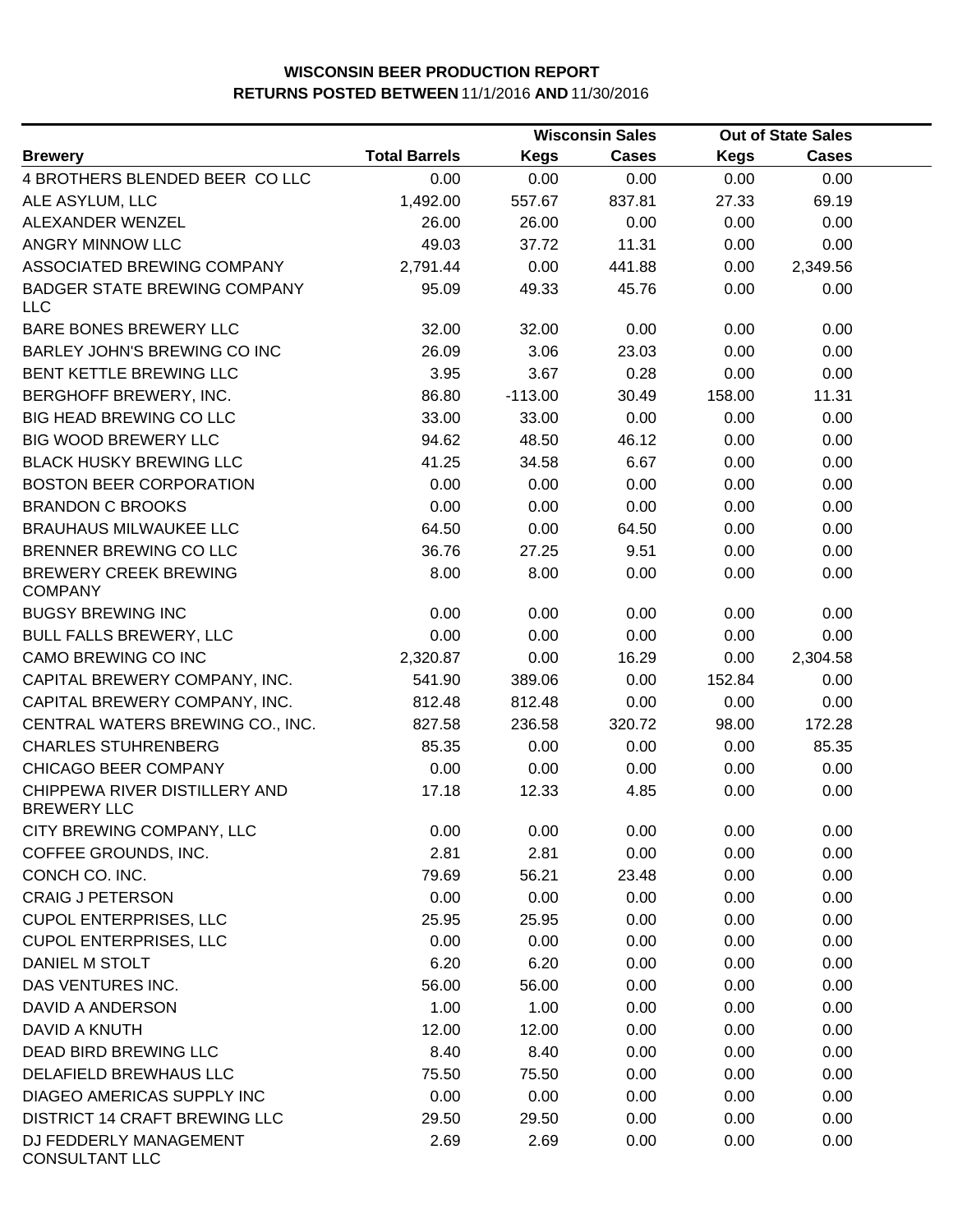|                                                     |                      |             | <b>Wisconsin Sales</b> |             | <b>Out of State Sales</b> |  |
|-----------------------------------------------------|----------------------|-------------|------------------------|-------------|---------------------------|--|
| <b>Brewery</b>                                      | <b>Total Barrels</b> | <b>Kegs</b> | <b>Cases</b>           | <b>Kegs</b> | <b>Cases</b>              |  |
| 4 BROTHERS BLENDED BEER CO LLC                      | 0.00                 | 0.00        | 0.00                   | 0.00        | 0.00                      |  |
| ALE ASYLUM, LLC                                     | 1,492.00             | 557.67      | 837.81                 | 27.33       | 69.19                     |  |
| ALEXANDER WENZEL                                    | 26.00                | 26.00       | 0.00                   | 0.00        | 0.00                      |  |
| ANGRY MINNOW LLC                                    | 49.03                | 37.72       | 11.31                  | 0.00        | 0.00                      |  |
| ASSOCIATED BREWING COMPANY                          | 2,791.44             | 0.00        | 441.88                 | 0.00        | 2,349.56                  |  |
| <b>BADGER STATE BREWING COMPANY</b><br><b>LLC</b>   | 95.09                | 49.33       | 45.76                  | 0.00        | 0.00                      |  |
| BARE BONES BREWERY LLC                              | 32.00                | 32.00       | 0.00                   | 0.00        | 0.00                      |  |
| BARLEY JOHN'S BREWING CO INC                        | 26.09                | 3.06        | 23.03                  | 0.00        | 0.00                      |  |
| BENT KETTLE BREWING LLC                             | 3.95                 | 3.67        | 0.28                   | 0.00        | 0.00                      |  |
| BERGHOFF BREWERY, INC.                              | 86.80                | $-113.00$   | 30.49                  | 158.00      | 11.31                     |  |
| <b>BIG HEAD BREWING CO LLC</b>                      | 33.00                | 33.00       | 0.00                   | 0.00        | 0.00                      |  |
| <b>BIG WOOD BREWERY LLC</b>                         | 94.62                | 48.50       | 46.12                  | 0.00        | 0.00                      |  |
| <b>BLACK HUSKY BREWING LLC</b>                      | 41.25                | 34.58       | 6.67                   | 0.00        | 0.00                      |  |
| <b>BOSTON BEER CORPORATION</b>                      | 0.00                 | 0.00        | 0.00                   | 0.00        | 0.00                      |  |
| <b>BRANDON C BROOKS</b>                             | 0.00                 | 0.00        | 0.00                   | 0.00        | 0.00                      |  |
| <b>BRAUHAUS MILWAUKEE LLC</b>                       | 64.50                | 0.00        | 64.50                  | 0.00        | 0.00                      |  |
| BRENNER BREWING CO LLC                              | 36.76                | 27.25       | 9.51                   | 0.00        | 0.00                      |  |
| <b>BREWERY CREEK BREWING</b><br><b>COMPANY</b>      | 8.00                 | 8.00        | 0.00                   | 0.00        | 0.00                      |  |
| <b>BUGSY BREWING INC</b>                            | 0.00                 | 0.00        | 0.00                   | 0.00        | 0.00                      |  |
| <b>BULL FALLS BREWERY, LLC</b>                      | 0.00                 | 0.00        | 0.00                   | 0.00        | 0.00                      |  |
| CAMO BREWING CO INC                                 | 2,320.87             | 0.00        | 16.29                  | 0.00        | 2,304.58                  |  |
| CAPITAL BREWERY COMPANY, INC.                       | 541.90               | 389.06      | 0.00                   | 152.84      | 0.00                      |  |
| CAPITAL BREWERY COMPANY, INC.                       | 812.48               | 812.48      | 0.00                   | 0.00        | 0.00                      |  |
| CENTRAL WATERS BREWING CO., INC.                    | 827.58               | 236.58      | 320.72                 | 98.00       | 172.28                    |  |
| <b>CHARLES STUHRENBERG</b>                          | 85.35                | 0.00        | 0.00                   | 0.00        | 85.35                     |  |
| CHICAGO BEER COMPANY                                | 0.00                 | 0.00        | 0.00                   | 0.00        | 0.00                      |  |
| CHIPPEWA RIVER DISTILLERY AND<br><b>BREWERY LLC</b> | 17.18                | 12.33       | 4.85                   | 0.00        | 0.00                      |  |
| CITY BREWING COMPANY, LLC                           | 0.00                 | 0.00        | 0.00                   | 0.00        | 0.00                      |  |
| COFFEE GROUNDS, INC.                                | 2.81                 | 2.81        | 0.00                   | 0.00        | 0.00                      |  |
| CONCH CO. INC.                                      | 79.69                | 56.21       | 23.48                  | 0.00        | 0.00                      |  |
| <b>CRAIG J PETERSON</b>                             | 0.00                 | 0.00        | 0.00                   | 0.00        | 0.00                      |  |
| <b>CUPOL ENTERPRISES, LLC</b>                       | 25.95                | 25.95       | 0.00                   | 0.00        | 0.00                      |  |
| <b>CUPOL ENTERPRISES, LLC</b>                       | 0.00                 | 0.00        | 0.00                   | 0.00        | 0.00                      |  |
| DANIEL M STOLT                                      | 6.20                 | 6.20        | 0.00                   | 0.00        | 0.00                      |  |
| DAS VENTURES INC.                                   | 56.00                | 56.00       | 0.00                   | 0.00        | 0.00                      |  |
| DAVID A ANDERSON                                    | 1.00                 | 1.00        | 0.00                   | 0.00        | 0.00                      |  |
| DAVID A KNUTH                                       | 12.00                | 12.00       | 0.00                   | 0.00        | 0.00                      |  |
| DEAD BIRD BREWING LLC                               | 8.40                 | 8.40        | 0.00                   | 0.00        | 0.00                      |  |
| DELAFIELD BREWHAUS LLC                              | 75.50                | 75.50       | 0.00                   | 0.00        | 0.00                      |  |
| DIAGEO AMERICAS SUPPLY INC                          | 0.00                 | 0.00        | 0.00                   | 0.00        | 0.00                      |  |
| <b>DISTRICT 14 CRAFT BREWING LLC</b>                | 29.50                | 29.50       | 0.00                   | 0.00        | 0.00                      |  |
| DJ FEDDERLY MANAGEMENT<br><b>CONSULTANT LLC</b>     | 2.69                 | 2.69        | 0.00                   | 0.00        | 0.00                      |  |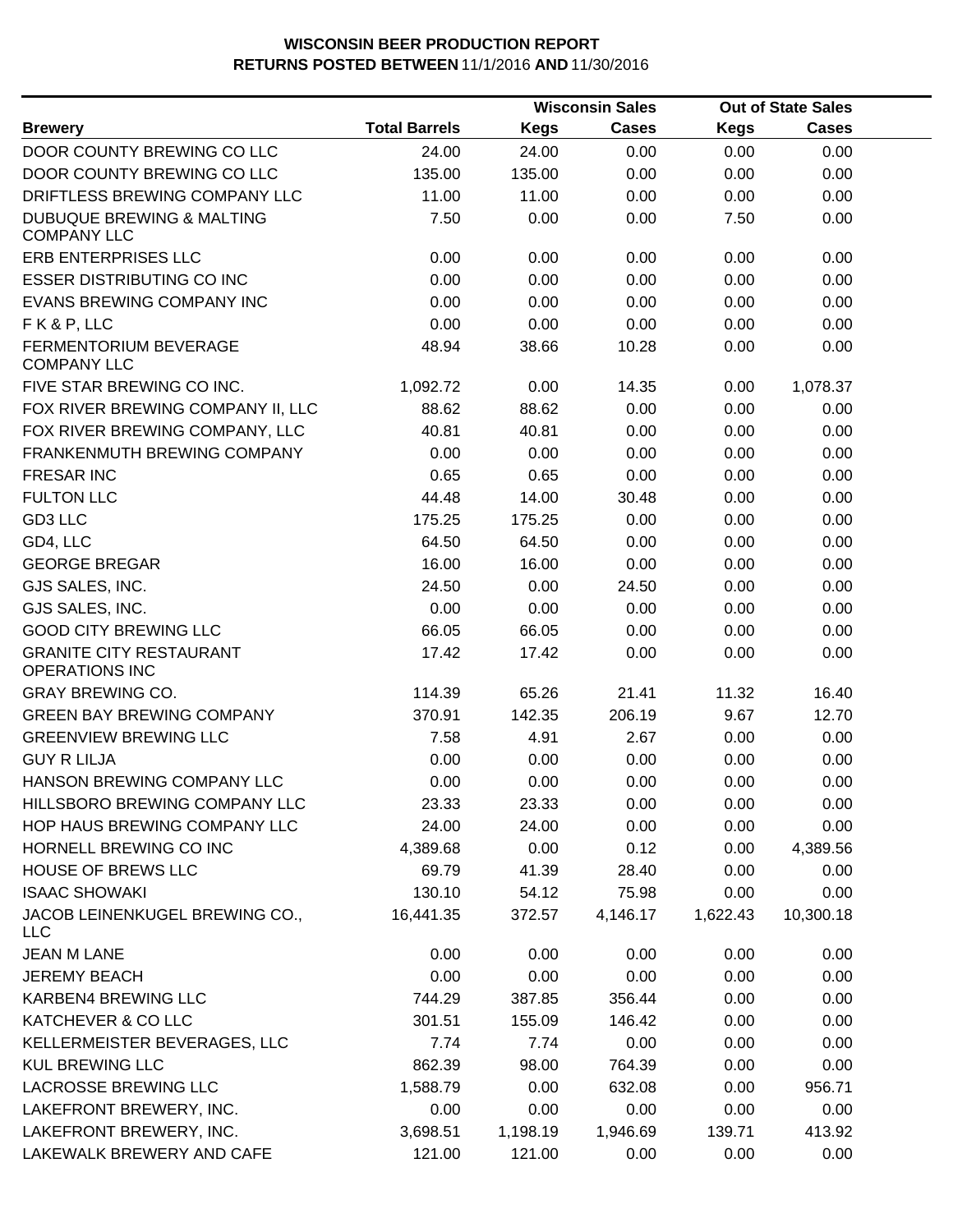|                                                            |                      |             | <b>Wisconsin Sales</b> |             | <b>Out of State Sales</b> |  |
|------------------------------------------------------------|----------------------|-------------|------------------------|-------------|---------------------------|--|
| <b>Brewery</b>                                             | <b>Total Barrels</b> | <b>Kegs</b> | Cases                  | <b>Kegs</b> | Cases                     |  |
| DOOR COUNTY BREWING CO LLC                                 | 24.00                | 24.00       | 0.00                   | 0.00        | 0.00                      |  |
| DOOR COUNTY BREWING CO LLC                                 | 135.00               | 135.00      | 0.00                   | 0.00        | 0.00                      |  |
| DRIFTLESS BREWING COMPANY LLC                              | 11.00                | 11.00       | 0.00                   | 0.00        | 0.00                      |  |
| <b>DUBUQUE BREWING &amp; MALTING</b><br><b>COMPANY LLC</b> | 7.50                 | 0.00        | 0.00                   | 7.50        | 0.00                      |  |
| ERB ENTERPRISES LLC                                        | 0.00                 | 0.00        | 0.00                   | 0.00        | 0.00                      |  |
| <b>ESSER DISTRIBUTING CO INC</b>                           | 0.00                 | 0.00        | 0.00                   | 0.00        | 0.00                      |  |
| EVANS BREWING COMPANY INC                                  | 0.00                 | 0.00        | 0.00                   | 0.00        | 0.00                      |  |
| FK&P, LLC                                                  | 0.00                 | 0.00        | 0.00                   | 0.00        | 0.00                      |  |
| <b>FERMENTORIUM BEVERAGE</b><br><b>COMPANY LLC</b>         | 48.94                | 38.66       | 10.28                  | 0.00        | 0.00                      |  |
| FIVE STAR BREWING CO INC.                                  | 1,092.72             | 0.00        | 14.35                  | 0.00        | 1,078.37                  |  |
| FOX RIVER BREWING COMPANY II, LLC                          | 88.62                | 88.62       | 0.00                   | 0.00        | 0.00                      |  |
| FOX RIVER BREWING COMPANY, LLC                             | 40.81                | 40.81       | 0.00                   | 0.00        | 0.00                      |  |
| FRANKENMUTH BREWING COMPANY                                | 0.00                 | 0.00        | 0.00                   | 0.00        | 0.00                      |  |
| <b>FRESAR INC</b>                                          | 0.65                 | 0.65        | 0.00                   | 0.00        | 0.00                      |  |
| <b>FULTON LLC</b>                                          | 44.48                | 14.00       | 30.48                  | 0.00        | 0.00                      |  |
| GD3 LLC                                                    | 175.25               | 175.25      | 0.00                   | 0.00        | 0.00                      |  |
| GD4, LLC                                                   | 64.50                | 64.50       | 0.00                   | 0.00        | 0.00                      |  |
| <b>GEORGE BREGAR</b>                                       | 16.00                | 16.00       | 0.00                   | 0.00        | 0.00                      |  |
| GJS SALES, INC.                                            | 24.50                | 0.00        | 24.50                  | 0.00        | 0.00                      |  |
| GJS SALES, INC.                                            | 0.00                 | 0.00        | 0.00                   | 0.00        | 0.00                      |  |
| <b>GOOD CITY BREWING LLC</b>                               | 66.05                | 66.05       | 0.00                   | 0.00        | 0.00                      |  |
| <b>GRANITE CITY RESTAURANT</b><br><b>OPERATIONS INC</b>    | 17.42                | 17.42       | 0.00                   | 0.00        | 0.00                      |  |
| <b>GRAY BREWING CO.</b>                                    | 114.39               | 65.26       | 21.41                  | 11.32       | 16.40                     |  |
| <b>GREEN BAY BREWING COMPANY</b>                           | 370.91               | 142.35      | 206.19                 | 9.67        | 12.70                     |  |
| <b>GREENVIEW BREWING LLC</b>                               | 7.58                 | 4.91        | 2.67                   | 0.00        | 0.00                      |  |
| <b>GUY R LILJA</b>                                         | 0.00                 | 0.00        | 0.00                   | 0.00        | 0.00                      |  |
| HANSON BREWING COMPANY LLC                                 | 0.00                 | 0.00        | 0.00                   | 0.00        | 0.00                      |  |
| HILLSBORO BREWING COMPANY LLC                              | 23.33                | 23.33       | 0.00                   | 0.00        | 0.00                      |  |
| HOP HAUS BREWING COMPANY LLC                               | 24.00                | 24.00       | 0.00                   | 0.00        | 0.00                      |  |
| HORNELL BREWING CO INC                                     | 4,389.68             | 0.00        | 0.12                   | 0.00        | 4,389.56                  |  |
| <b>HOUSE OF BREWS LLC</b>                                  | 69.79                | 41.39       | 28.40                  | 0.00        | 0.00                      |  |
| <b>ISAAC SHOWAKI</b>                                       | 130.10               | 54.12       | 75.98                  | 0.00        | 0.00                      |  |
| JACOB LEINENKUGEL BREWING CO.,<br><b>LLC</b>               | 16,441.35            | 372.57      | 4,146.17               | 1,622.43    | 10,300.18                 |  |
| <b>JEAN M LANE</b>                                         | 0.00                 | 0.00        | 0.00                   | 0.00        | 0.00                      |  |
| <b>JEREMY BEACH</b>                                        | 0.00                 | 0.00        | 0.00                   | 0.00        | 0.00                      |  |
| KARBEN4 BREWING LLC                                        | 744.29               | 387.85      | 356.44                 | 0.00        | 0.00                      |  |
| KATCHEVER & CO LLC                                         | 301.51               | 155.09      | 146.42                 | 0.00        | 0.00                      |  |
| KELLERMEISTER BEVERAGES, LLC                               | 7.74                 | 7.74        | 0.00                   | 0.00        | 0.00                      |  |
| <b>KUL BREWING LLC</b>                                     | 862.39               | 98.00       | 764.39                 | 0.00        | 0.00                      |  |
| <b>LACROSSE BREWING LLC</b>                                | 1,588.79             | 0.00        | 632.08                 | 0.00        | 956.71                    |  |
| LAKEFRONT BREWERY, INC.                                    | 0.00                 | 0.00        | 0.00                   | 0.00        | 0.00                      |  |
| LAKEFRONT BREWERY, INC.                                    | 3,698.51             | 1,198.19    | 1,946.69               | 139.71      | 413.92                    |  |
| LAKEWALK BREWERY AND CAFE                                  | 121.00               | 121.00      | 0.00                   | 0.00        | 0.00                      |  |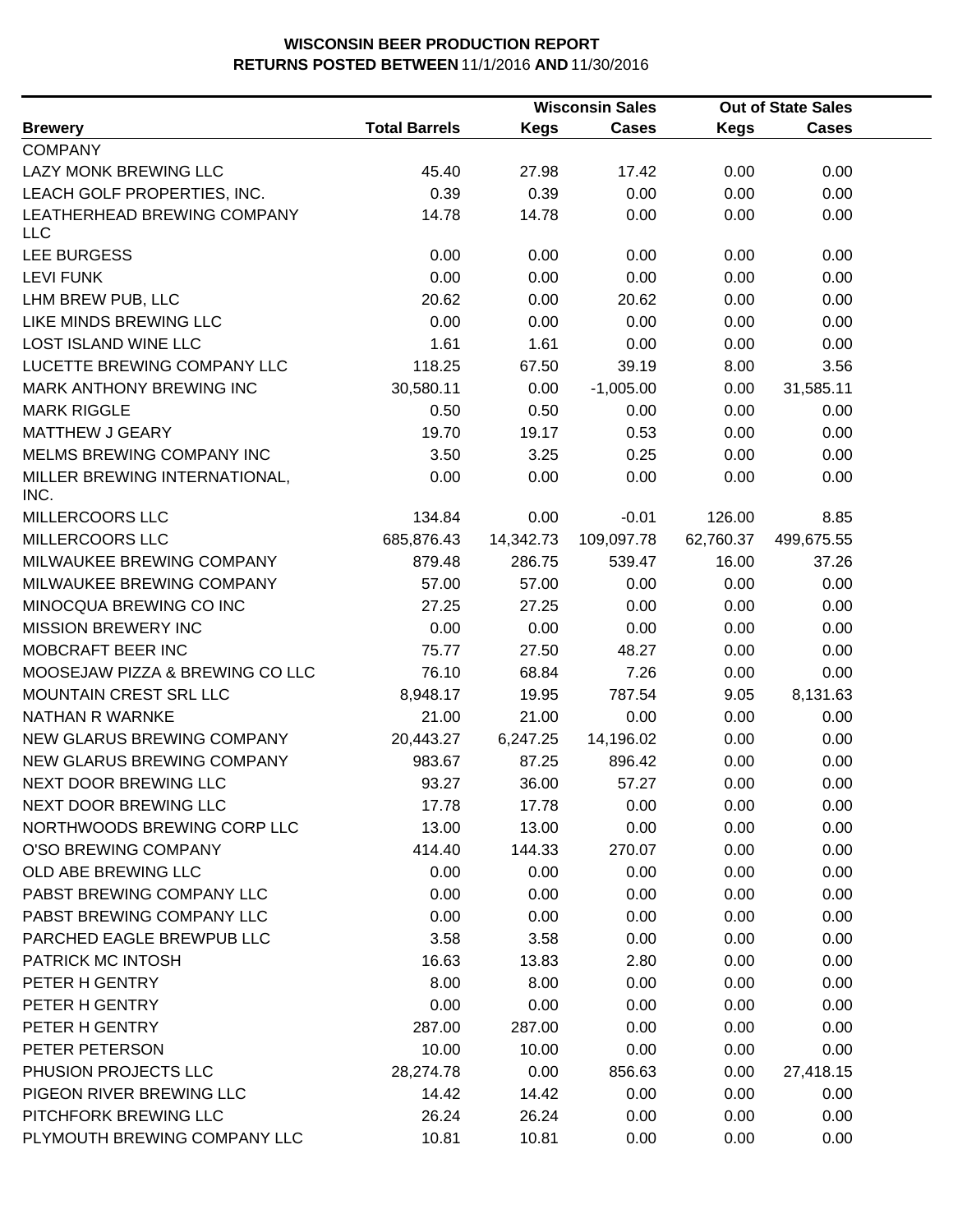|                                       |                      |             | <b>Wisconsin Sales</b> |             | <b>Out of State Sales</b> |  |
|---------------------------------------|----------------------|-------------|------------------------|-------------|---------------------------|--|
| <b>Brewery</b>                        | <b>Total Barrels</b> | <b>Kegs</b> | <b>Cases</b>           | <b>Kegs</b> | <b>Cases</b>              |  |
| <b>COMPANY</b>                        |                      |             |                        |             |                           |  |
| LAZY MONK BREWING LLC                 | 45.40                | 27.98       | 17.42                  | 0.00        | 0.00                      |  |
| LEACH GOLF PROPERTIES, INC.           | 0.39                 | 0.39        | 0.00                   | 0.00        | 0.00                      |  |
| LEATHERHEAD BREWING COMPANY<br>LLC    | 14.78                | 14.78       | 0.00                   | 0.00        | 0.00                      |  |
| <b>LEE BURGESS</b>                    | 0.00                 | 0.00        | 0.00                   | 0.00        | 0.00                      |  |
| <b>LEVI FUNK</b>                      | 0.00                 | 0.00        | 0.00                   | 0.00        | 0.00                      |  |
| LHM BREW PUB, LLC                     | 20.62                | 0.00        | 20.62                  | 0.00        | 0.00                      |  |
| LIKE MINDS BREWING LLC                | 0.00                 | 0.00        | 0.00                   | 0.00        | 0.00                      |  |
| <b>LOST ISLAND WINE LLC</b>           | 1.61                 | 1.61        | 0.00                   | 0.00        | 0.00                      |  |
| LUCETTE BREWING COMPANY LLC           | 118.25               | 67.50       | 39.19                  | 8.00        | 3.56                      |  |
| MARK ANTHONY BREWING INC              | 30,580.11            | 0.00        | $-1,005.00$            | 0.00        | 31,585.11                 |  |
| <b>MARK RIGGLE</b>                    | 0.50                 | 0.50        | 0.00                   | 0.00        | 0.00                      |  |
| <b>MATTHEW J GEARY</b>                | 19.70                | 19.17       | 0.53                   | 0.00        | 0.00                      |  |
| MELMS BREWING COMPANY INC             | 3.50                 | 3.25        | 0.25                   | 0.00        | 0.00                      |  |
| MILLER BREWING INTERNATIONAL,<br>INC. | 0.00                 | 0.00        | 0.00                   | 0.00        | 0.00                      |  |
| MILLERCOORS LLC                       | 134.84               | 0.00        | $-0.01$                | 126.00      | 8.85                      |  |
| MILLERCOORS LLC                       | 685,876.43           | 14,342.73   | 109,097.78             | 62,760.37   | 499,675.55                |  |
| MILWAUKEE BREWING COMPANY             | 879.48               | 286.75      | 539.47                 | 16.00       | 37.26                     |  |
| MILWAUKEE BREWING COMPANY             | 57.00                | 57.00       | 0.00                   | 0.00        | 0.00                      |  |
| MINOCQUA BREWING CO INC               | 27.25                | 27.25       | 0.00                   | 0.00        | 0.00                      |  |
| <b>MISSION BREWERY INC</b>            | 0.00                 | 0.00        | 0.00                   | 0.00        | 0.00                      |  |
| MOBCRAFT BEER INC                     | 75.77                | 27.50       | 48.27                  | 0.00        | 0.00                      |  |
| MOOSEJAW PIZZA & BREWING CO LLC       | 76.10                | 68.84       | 7.26                   | 0.00        | 0.00                      |  |
| MOUNTAIN CREST SRL LLC                | 8,948.17             | 19.95       | 787.54                 | 9.05        | 8,131.63                  |  |
| NATHAN R WARNKE                       | 21.00                | 21.00       | 0.00                   | 0.00        | 0.00                      |  |
| NEW GLARUS BREWING COMPANY            | 20,443.27            | 6,247.25    | 14,196.02              | 0.00        | 0.00                      |  |
| NEW GLARUS BREWING COMPANY            | 983.67               | 87.25       | 896.42                 | 0.00        | 0.00                      |  |
| NEXT DOOR BREWING LLC                 | 93.27                | 36.00       | 57.27                  | 0.00        | 0.00                      |  |
| NEXT DOOR BREWING LLC                 | 17.78                | 17.78       | 0.00                   | 0.00        | 0.00                      |  |
| NORTHWOODS BREWING CORP LLC           | 13.00                | 13.00       | 0.00                   | 0.00        | 0.00                      |  |
| O'SO BREWING COMPANY                  | 414.40               | 144.33      | 270.07                 | 0.00        | 0.00                      |  |
| OLD ABE BREWING LLC                   | 0.00                 | 0.00        | 0.00                   | 0.00        | 0.00                      |  |
| PABST BREWING COMPANY LLC             | 0.00                 | 0.00        | 0.00                   | 0.00        | 0.00                      |  |
| PABST BREWING COMPANY LLC             | 0.00                 | 0.00        | 0.00                   | 0.00        | 0.00                      |  |
| PARCHED EAGLE BREWPUB LLC             | 3.58                 | 3.58        | 0.00                   | 0.00        | 0.00                      |  |
| PATRICK MC INTOSH                     | 16.63                | 13.83       | 2.80                   | 0.00        | 0.00                      |  |
| PETER H GENTRY                        | 8.00                 | 8.00        | 0.00                   | 0.00        | 0.00                      |  |
| PETER H GENTRY                        | 0.00                 | 0.00        | 0.00                   | 0.00        | 0.00                      |  |
| PETER H GENTRY                        | 287.00               | 287.00      | 0.00                   | 0.00        | 0.00                      |  |
| PETER PETERSON                        | 10.00                | 10.00       | 0.00                   | 0.00        | 0.00                      |  |
| PHUSION PROJECTS LLC                  | 28,274.78            | 0.00        | 856.63                 | 0.00        | 27,418.15                 |  |
| PIGEON RIVER BREWING LLC              | 14.42                | 14.42       | 0.00                   | 0.00        | 0.00                      |  |
| PITCHFORK BREWING LLC                 | 26.24                | 26.24       | 0.00                   | 0.00        | 0.00                      |  |
| PLYMOUTH BREWING COMPANY LLC          | 10.81                | 10.81       | 0.00                   | 0.00        | 0.00                      |  |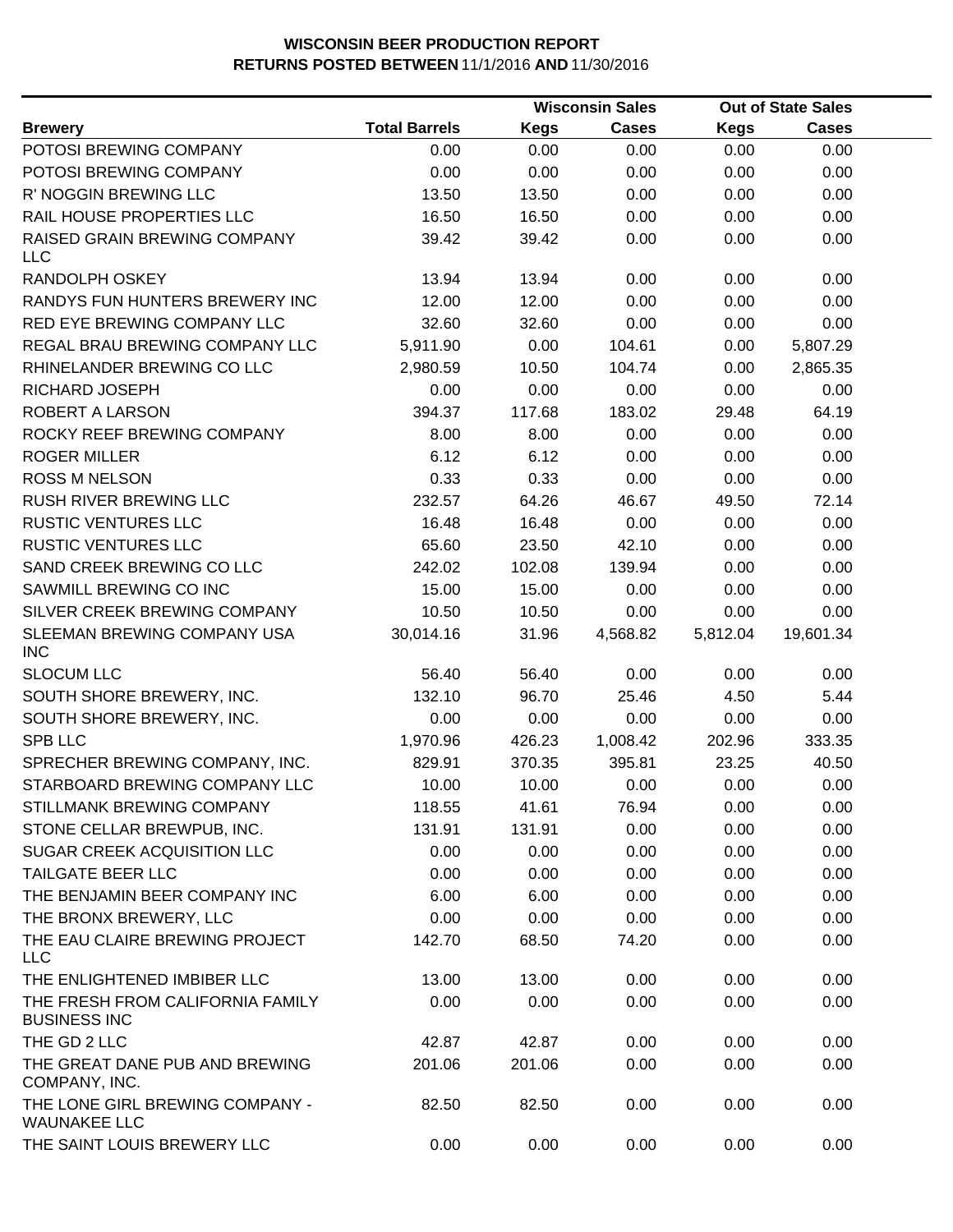|                                                         |                      |             | <b>Wisconsin Sales</b> |             | <b>Out of State Sales</b> |  |
|---------------------------------------------------------|----------------------|-------------|------------------------|-------------|---------------------------|--|
| <b>Brewery</b>                                          | <b>Total Barrels</b> | <b>Kegs</b> | <b>Cases</b>           | <b>Kegs</b> | <b>Cases</b>              |  |
| POTOSI BREWING COMPANY                                  | 0.00                 | 0.00        | 0.00                   | 0.00        | 0.00                      |  |
| POTOSI BREWING COMPANY                                  | 0.00                 | 0.00        | 0.00                   | 0.00        | 0.00                      |  |
| R' NOGGIN BREWING LLC                                   | 13.50                | 13.50       | 0.00                   | 0.00        | 0.00                      |  |
| RAIL HOUSE PROPERTIES LLC                               | 16.50                | 16.50       | 0.00                   | 0.00        | 0.00                      |  |
| RAISED GRAIN BREWING COMPANY<br><b>LLC</b>              | 39.42                | 39.42       | 0.00                   | 0.00        | 0.00                      |  |
| RANDOLPH OSKEY                                          | 13.94                | 13.94       | 0.00                   | 0.00        | 0.00                      |  |
| RANDYS FUN HUNTERS BREWERY INC                          | 12.00                | 12.00       | 0.00                   | 0.00        | 0.00                      |  |
| RED EYE BREWING COMPANY LLC                             | 32.60                | 32.60       | 0.00                   | 0.00        | 0.00                      |  |
| REGAL BRAU BREWING COMPANY LLC                          | 5,911.90             | 0.00        | 104.61                 | 0.00        | 5,807.29                  |  |
| RHINELANDER BREWING CO LLC                              | 2,980.59             | 10.50       | 104.74                 | 0.00        | 2,865.35                  |  |
| RICHARD JOSEPH                                          | 0.00                 | 0.00        | 0.00                   | 0.00        | 0.00                      |  |
| ROBERT A LARSON                                         | 394.37               | 117.68      | 183.02                 | 29.48       | 64.19                     |  |
| ROCKY REEF BREWING COMPANY                              | 8.00                 | 8.00        | 0.00                   | 0.00        | 0.00                      |  |
| <b>ROGER MILLER</b>                                     | 6.12                 | 6.12        | 0.00                   | 0.00        | 0.00                      |  |
| <b>ROSS M NELSON</b>                                    | 0.33                 | 0.33        | 0.00                   | 0.00        | 0.00                      |  |
| <b>RUSH RIVER BREWING LLC</b>                           | 232.57               | 64.26       | 46.67                  | 49.50       | 72.14                     |  |
| <b>RUSTIC VENTURES LLC</b>                              | 16.48                | 16.48       | 0.00                   | 0.00        | 0.00                      |  |
| <b>RUSTIC VENTURES LLC</b>                              | 65.60                | 23.50       | 42.10                  | 0.00        | 0.00                      |  |
| SAND CREEK BREWING CO LLC                               | 242.02               | 102.08      | 139.94                 | 0.00        | 0.00                      |  |
| SAWMILL BREWING CO INC                                  | 15.00                | 15.00       | 0.00                   | 0.00        | 0.00                      |  |
| SILVER CREEK BREWING COMPANY                            | 10.50                | 10.50       | 0.00                   | 0.00        | 0.00                      |  |
| SLEEMAN BREWING COMPANY USA<br><b>INC</b>               | 30,014.16            | 31.96       | 4,568.82               | 5,812.04    | 19,601.34                 |  |
| <b>SLOCUM LLC</b>                                       | 56.40                | 56.40       | 0.00                   | 0.00        | 0.00                      |  |
| SOUTH SHORE BREWERY, INC.                               | 132.10               | 96.70       | 25.46                  | 4.50        | 5.44                      |  |
| SOUTH SHORE BREWERY, INC.                               | 0.00                 | 0.00        | 0.00                   | 0.00        | 0.00                      |  |
| <b>SPB LLC</b>                                          | 1,970.96             | 426.23      | 1,008.42               | 202.96      | 333.35                    |  |
| SPRECHER BREWING COMPANY, INC.                          | 829.91               | 370.35      | 395.81                 | 23.25       | 40.50                     |  |
| STARBOARD BREWING COMPANY LLC                           | 10.00                | 10.00       | 0.00                   | 0.00        | 0.00                      |  |
| STILLMANK BREWING COMPANY                               | 118.55               | 41.61       | 76.94                  | 0.00        | 0.00                      |  |
| STONE CELLAR BREWPUB, INC.                              | 131.91               | 131.91      | 0.00                   | 0.00        | 0.00                      |  |
| SUGAR CREEK ACQUISITION LLC                             | 0.00                 | 0.00        | 0.00                   | 0.00        | 0.00                      |  |
| <b>TAILGATE BEER LLC</b>                                | 0.00                 | 0.00        | 0.00                   | 0.00        | 0.00                      |  |
| THE BENJAMIN BEER COMPANY INC                           | 6.00                 | 6.00        | 0.00                   | 0.00        | 0.00                      |  |
| THE BRONX BREWERY, LLC                                  | 0.00                 | 0.00        | 0.00                   | 0.00        | 0.00                      |  |
| THE EAU CLAIRE BREWING PROJECT<br><b>LLC</b>            | 142.70               | 68.50       | 74.20                  | 0.00        | 0.00                      |  |
| THE ENLIGHTENED IMBIBER LLC                             | 13.00                | 13.00       | 0.00                   | 0.00        | 0.00                      |  |
| THE FRESH FROM CALIFORNIA FAMILY<br><b>BUSINESS INC</b> | 0.00                 | 0.00        | 0.00                   | 0.00        | 0.00                      |  |
| THE GD 2 LLC                                            | 42.87                | 42.87       | 0.00                   | 0.00        | 0.00                      |  |
| THE GREAT DANE PUB AND BREWING<br>COMPANY, INC.         | 201.06               | 201.06      | 0.00                   | 0.00        | 0.00                      |  |
| THE LONE GIRL BREWING COMPANY -<br><b>WAUNAKEE LLC</b>  | 82.50                | 82.50       | 0.00                   | 0.00        | 0.00                      |  |
| THE SAINT LOUIS BREWERY LLC                             | 0.00                 | 0.00        | 0.00                   | 0.00        | 0.00                      |  |